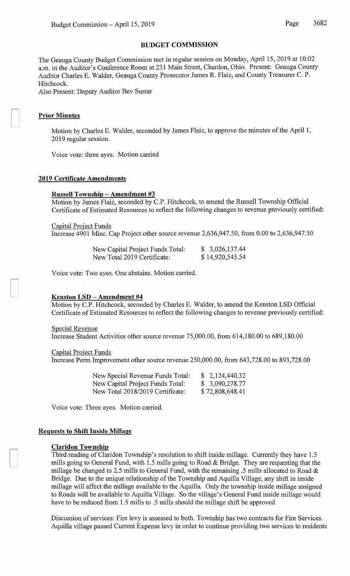### **BUDGET COMMISSION**

The Geauga County Budget Commission met in regular session on Monday, April15, 2019 at 10:02 a.m. in the Auditor's Conference Room at 231 Main Street, Chardon, Ohio. Present: Geauga County Auditor Charles E. Walder, Geauga County Prosecutor James R. Flaiz, and County Treasurer C. P. Hitchcock.

Also Present: Deputy Auditor Bev Sustar

# **Prior Minutes**

Motion by Charles E. Walder, seconded by James Flaiz, to approve the minutes of the April 1, 2019 regular session.

Voice vote: three ayes. Motion carried

### **2019 Certificate Amendments**

### **Russell Township- Amendment #3**

Motion by James Flaiz, seconded by C.P. Hitchcock, to amend the Russell Township Official Certificate of Estimated Resources to reflect the following changes to revenue previously certified:

Capital Project Funds

Increase 4901 Misc. Cap Project other source revenue 2,636,947.50, from 0.00 to 2,636,947.50

| New Capital Project Funds Total: | \$3,026,137.44  |
|----------------------------------|-----------------|
| New Total 2019 Certificate:      | \$14,920,545.54 |

Voice vote: Two ayes. One abstains. Motion carried.

## **Kenston LSD - Amendment #4**

Motion by C.P. Hitchcock, seconded by Charles E. Walder, to amend the Kenston LSD Official Certificate of Estimated Resources to reflect the following changes to revenue previously certified:

Special Revenue

Increase Student Activities other source revenue 75,000.00, from 614,180.00 to 689,180.00

Capital Project Funds

Increase Perm Improvement other source revenue 250,000.00, from 643,728.00 to 893,728.00

| New Special Revenue Funds Total: | \$2,124,440.32  |
|----------------------------------|-----------------|
| New Capital Project Funds Total: | \$3,090,278.77  |
| New Total 2018/2019 Certificate: | \$72,808,648.41 |

Voice vote: Three ayes. Motion carried.

## **Requests to Shift Inside Millage**

#### **Claridon Township**

Third reading of Claridon Township's resolution to shift inside millage. Currently they have 1.5 mills going to General Fund, with 1.5 mills going to Road & Bridge. They are requesting that the millage be changed to 2.5 mills to General Fund, with the remaining .5 mills allocated to Road & Bridge. Due to the unique relationship of the Township and Aquilla Village, any shift in inside millage will affect the millage available to the Aquilla. Only the township inside millage assigned to Roads will be available to Aquilla Village. So the village's General Fund inside millage would have to be reduced from 1.5 mills to .5 mills should the millage shift be approved

Discussion of services: Fire levy is assessed to both. Township has two contracts for Fire Services. Aquilla village passed Current Expense levy in order to continue providing two services to residents